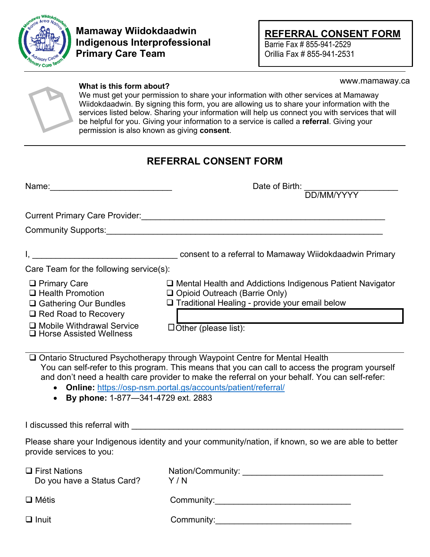

## **Mamaway Wiidokdaadwin Indigenous Interprofessional Primary Care Team**

**REFERRAL CONSENT FORM** Barrie Fax # 855-941-2529 Orillia Fax # 855-941-2531

www.mamaway.ca

# **What is this form about?**

We must get your permission to share your information with other services at Mamaway Wiidokdaadwin. By signing this form, you are allowing us to share your information with the services listed below. Sharing your information will help us connect you with services that will be helpful for you. Giving your information to a service is called a **referral**. Giving your permission is also known as giving **consent**.

## **REFERRAL CONSENT FORM**

| Name:                                                                          | Date of Birth:                                                                                                                                          |
|--------------------------------------------------------------------------------|---------------------------------------------------------------------------------------------------------------------------------------------------------|
| <b>Current Primary Care Provider:</b>                                          |                                                                                                                                                         |
| <b>Community Supports:</b>                                                     |                                                                                                                                                         |
|                                                                                | consent to a referral to Mamaway Wildokdaadwin Primary                                                                                                  |
| Care Team for the following service(s):                                        |                                                                                                                                                         |
| $\Box$ Primary Care<br>$\Box$ Health Promotion<br>$\Box$ Gathering Our Bundles | □ Mental Health and Addictions Indigenous Patient Navigator<br>□ Opioid Outreach (Barrie Only)<br>$\Box$ Traditional Healing - provide your email below |
| $\Box$ Red Road to Recovery                                                    |                                                                                                                                                         |
| $\Box$ Mobile Withdrawal Service<br>$\Box$ Horse Assisted Wellness             | $\Box$ Other (please list):                                                                                                                             |
| — ^ · ^ · · · · · · · ·                                                        | $\cdots$ $\cdots$ $\cdots$<br>$\cdots$                                                                                                                  |

□ Ontario Structured Psychotherapy through Waypoint Centre for Mental Health You can self-refer to this program. This means that you can call to access the program yourself and don't need a health care provider to make the referral on your behalf. You can self-refer:

- **Online:** <https://osp-nsm.portal.gs/accounts/patient/referral/>
- **By phone:** 1-877—341-4729 ext. 2883

## I discussed this referral with \_

Please share your Indigenous identity and your community/nation, if known, so we are able to better provide services to you:

| $\Box$ First Nations<br>Do you have a Status Card? | Nation/Community:<br>Y / N |
|----------------------------------------------------|----------------------------|
| $\Box$ Métis                                       | Community:                 |
| $\Box$ Inuit                                       | Community:                 |